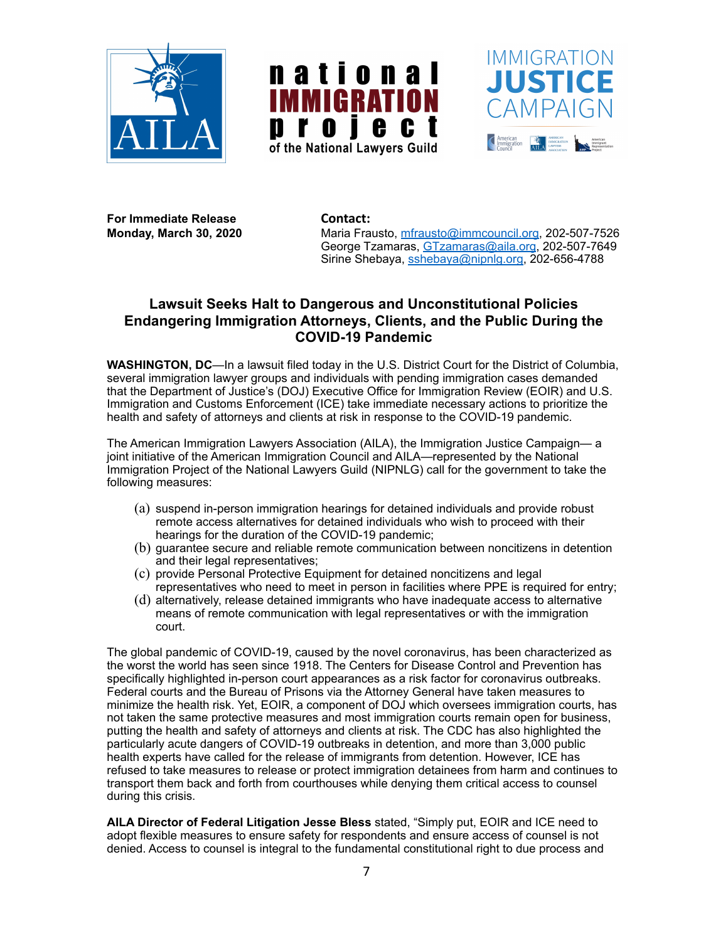





For Immediate Release *Contact:* 

**Monday, March 30, 2020** Maria Frausto, [mfrausto@immcouncil.org,](mailto:mfrausto@immcouncil.org) 202-507-7526 George Tzamaras, [GTzamaras@aila.org](mailto:GTzamaras@aila.org), 202-507-7649 Sirine Shebaya, [sshebaya@nipnlg.org](mailto:sshebaya@nipnlg.org), 202-656-4788

## **Lawsuit Seeks Halt to Dangerous and Unconstitutional Policies Endangering Immigration Attorneys, Clients, and the Public During the COVID-19 Pandemic**

**WASHINGTON, DC**—In a lawsuit filed today in the U.S. District Court for the District of Columbia, several immigration lawyer groups and individuals with pending immigration cases demanded that the Department of Justice's (DOJ) Executive Office for Immigration Review (EOIR) and U.S. Immigration and Customs Enforcement (ICE) take immediate necessary actions to prioritize the health and safety of attorneys and clients at risk in response to the COVID-19 pandemic.

The American Immigration Lawyers Association (AILA), the Immigration Justice Campaign— a joint initiative of the American Immigration Council and AILA—represented by the National Immigration Project of the National Lawyers Guild (NIPNLG) call for the government to take the following measures:

- (a) suspend in-person immigration hearings for detained individuals and provide robust remote access alternatives for detained individuals who wish to proceed with their hearings for the duration of the COVID-19 pandemic;
- (b) guarantee secure and reliable remote communication between noncitizens in detention and their legal representatives;
- (c) provide Personal Protective Equipment for detained noncitizens and legal representatives who need to meet in person in facilities where PPE is required for entry;
- (d) alternatively, release detained immigrants who have inadequate access to alternative means of remote communication with legal representatives or with the immigration court.

The global pandemic of COVID-19, caused by the novel coronavirus, has been characterized as the worst the world has seen since 1918. The Centers for Disease Control and Prevention has specifically highlighted in-person court appearances as a risk factor for coronavirus outbreaks. Federal courts and the Bureau of Prisons via the Attorney General have taken measures to minimize the health risk. Yet, EOIR, a component of DOJ which oversees immigration courts, has not taken the same protective measures and most immigration courts remain open for business, putting the health and safety of attorneys and clients at risk. The CDC has also highlighted the particularly acute dangers of COVID-19 outbreaks in detention, and more than 3,000 public health experts have called for the release of immigrants from detention. However, ICE has refused to take measures to release or protect immigration detainees from harm and continues to transport them back and forth from courthouses while denying them critical access to counsel during this crisis.

**AILA Director of Federal Litigation Jesse Bless** stated, "Simply put, EOIR and ICE need to adopt flexible measures to ensure safety for respondents and ensure access of counsel is not denied. Access to counsel is integral to the fundamental constitutional right to due process and